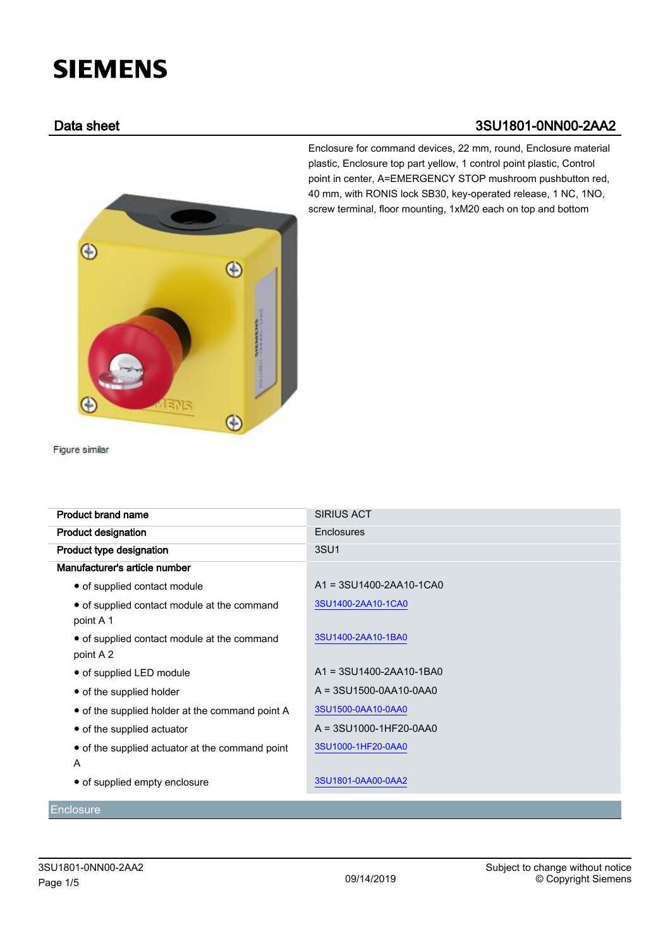# **SIEMENS**

# Data sheet 3SU1801-0NN00-2AA2

Enclosure for command devices, 22 mm, round, Enclosure material plastic, Enclosure top part yellow, 1 control point plastic, Control point in center, A=EMERGENCY STOP mushroom pushbutton red, 40 mm, with RONIS lock SB30, key-operated release, 1 NC, 1NO, screw terminal, floor mounting, 1xM20 each on top and bottom



Figure similar

| <b>Product brand name</b>                                | <b>SIRIUS ACT</b>         |
|----------------------------------------------------------|---------------------------|
| <b>Product designation</b>                               | <b>Enclosures</b>         |
| Product type designation                                 | 3SU1                      |
| Manufacturer's article number                            |                           |
| • of supplied contact module                             | A1 = 3SU1400-2AA10-1CA0   |
| • of supplied contact module at the command<br>point A 1 | 3SU1400-2AA10-1CA0        |
| • of supplied contact module at the command<br>point A 2 | 3SU1400-2AA10-1BA0        |
| • of supplied LED module                                 | A1 = 3SU1400-2AA10-1BA0   |
| • of the supplied holder                                 | $A = 3SU1500-0AA10-0AAA0$ |
| • of the supplied holder at the command point A          | 3SU1500-0AA10-0AA0        |
| • of the supplied actuator                               | A = 3SU1000-1HF20-0AA0    |
| • of the supplied actuator at the command point<br>A     | 3SU1000-1HF20-0AA0        |
| • of supplied empty enclosure                            | 3SU1801-0AA00-0AA2        |

**Enclosure**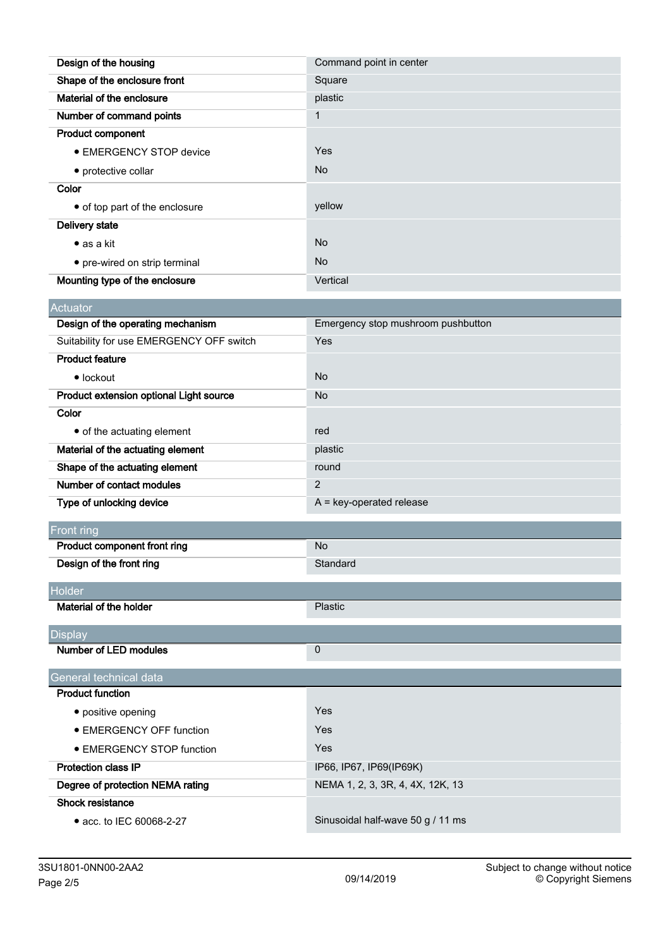| Design of the housing          | Command point in center |
|--------------------------------|-------------------------|
| Shape of the enclosure front   | Square                  |
| Material of the enclosure      | plastic                 |
| Number of command points       | 1                       |
| <b>Product component</b>       |                         |
| <b>• EMERGENCY STOP device</b> | Yes                     |
| • protective collar            | <b>No</b>               |
| Color                          |                         |
| • of top part of the enclosure | yellow                  |
| Delivery state                 |                         |
| $\bullet$ as a kit             | <b>No</b>               |
| • pre-wired on strip terminal  | <b>No</b>               |
| Mounting type of the enclosure | Vertical                |

| <b>Actuator</b>                          |                                    |
|------------------------------------------|------------------------------------|
| Design of the operating mechanism        | Emergency stop mushroom pushbutton |
| Suitability for use EMERGENCY OFF switch | Yes                                |
| <b>Product feature</b>                   |                                    |
| $\bullet$ lockout                        | <b>No</b>                          |
| Product extension optional Light source  | <b>No</b>                          |
| Color                                    |                                    |
| • of the actuating element               | red                                |
| Material of the actuating element        | plastic                            |
| Shape of the actuating element           | round                              |
| Number of contact modules                | $\overline{2}$                     |
| Type of unlocking device                 | $A = key-operated release$         |

| Front ring                       |                                  |
|----------------------------------|----------------------------------|
| Product component front ring     | <b>No</b>                        |
| Design of the front ring         | Standard                         |
| Holder                           |                                  |
| Material of the holder           | Plastic                          |
| <b>Display</b>                   |                                  |
| Number of LED modules            | $\mathbf 0$                      |
| General technical data           |                                  |
| <b>Product function</b>          |                                  |
| • positive opening               | Yes                              |
| • EMERGENCY OFF function         | Yes                              |
| • EMERGENCY STOP function        | Yes                              |
| <b>Protection class IP</b>       | IP66, IP67, IP69(IP69K)          |
| Degree of protection NEMA rating | NEMA 1, 2, 3, 3R, 4, 4X, 12K, 13 |
| Shock resistance                 |                                  |

● acc. to IEC 60068-2-27 Sinusoidal half-wave 50 g / 11 ms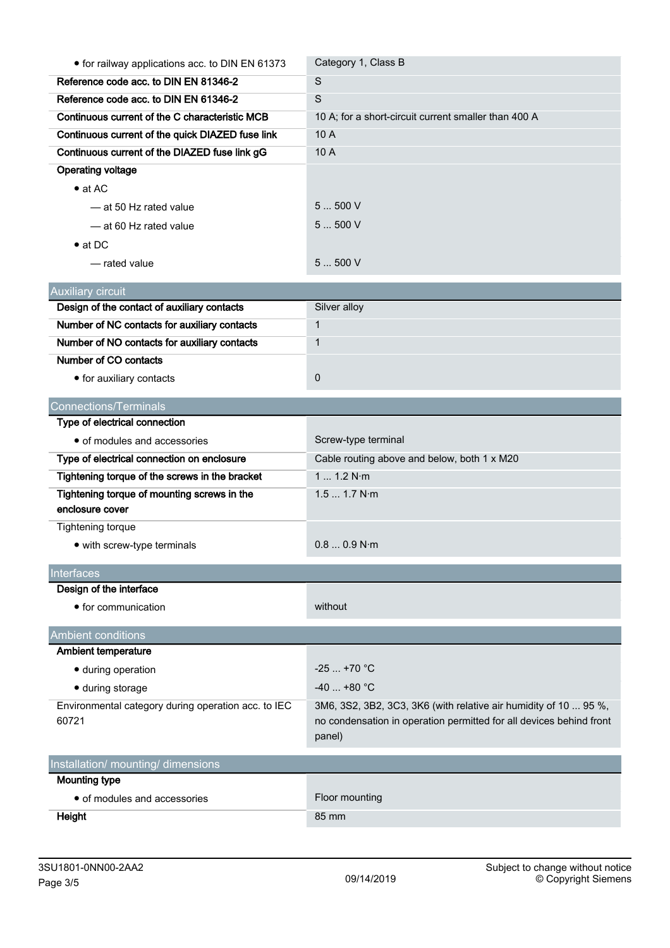| • for railway applications acc. to DIN EN 61373                | Category 1, Class B                                                                                                                               |  |  |  |
|----------------------------------------------------------------|---------------------------------------------------------------------------------------------------------------------------------------------------|--|--|--|
| Reference code acc. to DIN EN 81346-2                          | S                                                                                                                                                 |  |  |  |
| Reference code acc. to DIN EN 61346-2                          | S                                                                                                                                                 |  |  |  |
| Continuous current of the C characteristic MCB                 | 10 A; for a short-circuit current smaller than 400 A                                                                                              |  |  |  |
| Continuous current of the quick DIAZED fuse link               | 10 A                                                                                                                                              |  |  |  |
| Continuous current of the DIAZED fuse link gG                  | 10 A                                                                                                                                              |  |  |  |
| <b>Operating voltage</b>                                       |                                                                                                                                                   |  |  |  |
| $\bullet$ at AC                                                |                                                                                                                                                   |  |  |  |
| -at 50 Hz rated value                                          | 5500V                                                                                                                                             |  |  |  |
| - at 60 Hz rated value                                         | 5500V                                                                                                                                             |  |  |  |
| $\bullet$ at DC                                                |                                                                                                                                                   |  |  |  |
| - rated value                                                  | 5500V                                                                                                                                             |  |  |  |
| <b>Auxiliary circuit</b>                                       |                                                                                                                                                   |  |  |  |
| Design of the contact of auxiliary contacts                    | Silver alloy                                                                                                                                      |  |  |  |
| Number of NC contacts for auxiliary contacts                   | $\mathbf{1}$                                                                                                                                      |  |  |  |
| Number of NO contacts for auxiliary contacts                   | $\mathbf{1}$                                                                                                                                      |  |  |  |
| Number of CO contacts                                          |                                                                                                                                                   |  |  |  |
| • for auxiliary contacts                                       | $\pmb{0}$                                                                                                                                         |  |  |  |
| <b>Connections/Terminals</b>                                   |                                                                                                                                                   |  |  |  |
| Type of electrical connection                                  |                                                                                                                                                   |  |  |  |
| • of modules and accessories                                   | Screw-type terminal                                                                                                                               |  |  |  |
| Type of electrical connection on enclosure                     | Cable routing above and below, both 1 x M20                                                                                                       |  |  |  |
| Tightening torque of the screws in the bracket                 | 1 1.2 N·m                                                                                                                                         |  |  |  |
| Tightening torque of mounting screws in the<br>enclosure cover | 1.5 1.7 N·m                                                                                                                                       |  |  |  |
| <b>Tightening torque</b>                                       |                                                                                                                                                   |  |  |  |
|                                                                | 0.80.9 N·m                                                                                                                                        |  |  |  |
| • with screw-type terminals                                    |                                                                                                                                                   |  |  |  |
| Interfaces                                                     |                                                                                                                                                   |  |  |  |
| Design of the interface                                        |                                                                                                                                                   |  |  |  |
| • for communication                                            | without                                                                                                                                           |  |  |  |
| <b>Ambient conditions</b>                                      |                                                                                                                                                   |  |  |  |
| <b>Ambient temperature</b>                                     |                                                                                                                                                   |  |  |  |
| • during operation                                             | $-25+70$ °C                                                                                                                                       |  |  |  |
| • during storage                                               | $-40$ +80 °C                                                                                                                                      |  |  |  |
| Environmental category during operation acc. to IEC<br>60721   | 3M6, 3S2, 3B2, 3C3, 3K6 (with relative air humidity of 10  95 %,<br>no condensation in operation permitted for all devices behind front<br>panel) |  |  |  |
| Installation/ mounting/ dimensions                             |                                                                                                                                                   |  |  |  |
| <b>Mounting type</b>                                           |                                                                                                                                                   |  |  |  |
| • of modules and accessories                                   | Floor mounting                                                                                                                                    |  |  |  |
| Height                                                         | 85 mm                                                                                                                                             |  |  |  |
|                                                                |                                                                                                                                                   |  |  |  |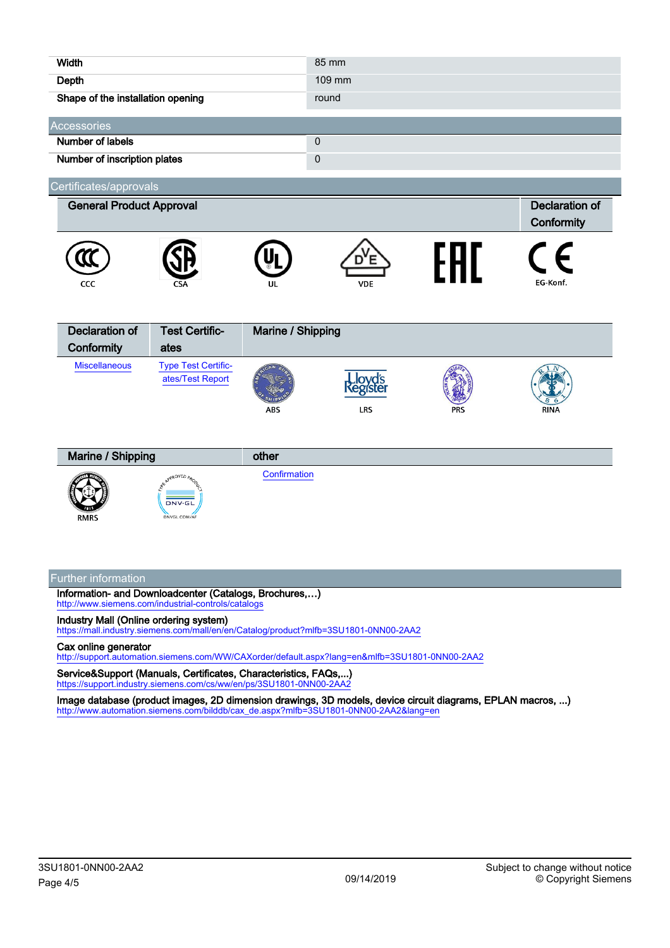| <b>Width</b>                        |                                                       |                   | 85 mm                |     |                                     |
|-------------------------------------|-------------------------------------------------------|-------------------|----------------------|-----|-------------------------------------|
| Depth                               |                                                       |                   | 109 mm               |     |                                     |
| Shape of the installation opening   |                                                       |                   | round                |     |                                     |
| Accessories                         |                                                       |                   |                      |     |                                     |
| <b>Number of labels</b>             |                                                       |                   | $\mathbf 0$          |     |                                     |
| Number of inscription plates        |                                                       |                   | 0                    |     |                                     |
| Certificates/approvals              |                                                       |                   |                      |     |                                     |
| <b>General Product Approval</b>     |                                                       |                   |                      |     | <b>Declaration of</b><br>Conformity |
| CCC                                 |                                                       | ul                | <b>VDE</b>           | FAL | EG-Konf.                            |
| <b>Declaration of</b><br>Conformity | <b>Test Certific-</b><br>ates                         | Marine / Shipping |                      |     |                                     |
| <b>Miscellaneous</b>                | <b>Type Test Certific-</b><br>ates/Test Report        | <b>ABS</b>        | egiste<br><b>LRS</b> | PRS | <b>RINA</b>                         |
| Marine / Shipping                   |                                                       | other             |                      |     |                                     |
| <b>RMRS</b>                         | <b>APPROVED PROD</b><br><b>DNV·GL</b><br>DNVGL.COM/AF | Confirmation      |                      |     |                                     |

## Further information

Information- and Downloadcenter (Catalogs, Brochures,…) <http://www.siemens.com/industrial-controls/catalogs>

Industry Mall (Online ordering system)

<https://mall.industry.siemens.com/mall/en/en/Catalog/product?mlfb=3SU1801-0NN00-2AA2>

### Cax online generator

<http://support.automation.siemens.com/WW/CAXorder/default.aspx?lang=en&mlfb=3SU1801-0NN00-2AA2>

Service&Support (Manuals, Certificates, Characteristics, FAQs,...) <https://support.industry.siemens.com/cs/ww/en/ps/3SU1801-0NN00-2AA2>

Image database (product images, 2D dimension drawings, 3D models, device circuit diagrams, EPLAN macros, ...) [http://www.automation.siemens.com/bilddb/cax\\_de.aspx?mlfb=3SU1801-0NN00-2AA2&lang=en](http://www.automation.siemens.com/bilddb/cax_de.aspx?mlfb=3SU1801-0NN00-2AA2&lang=en)